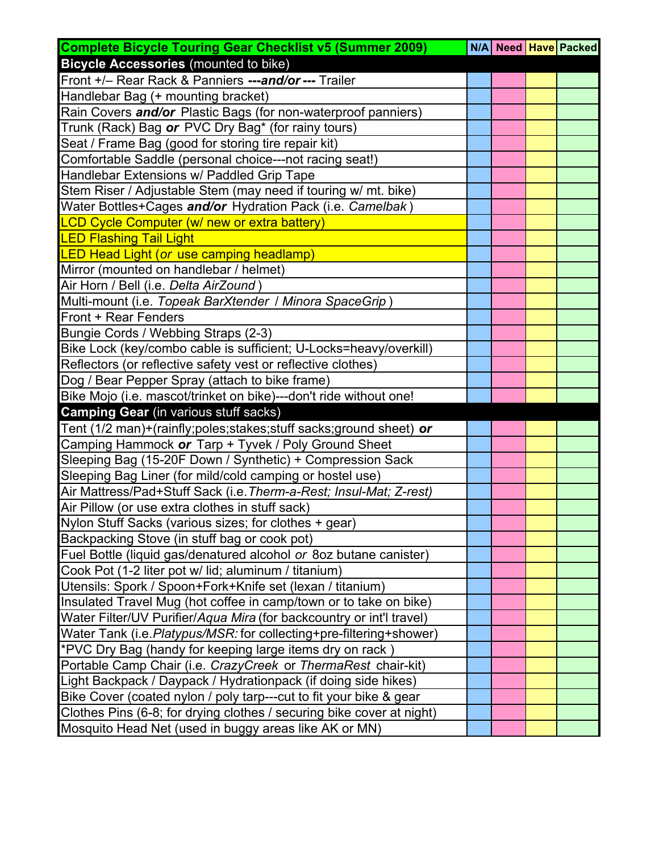| <b>Complete Bicycle Touring Gear Checklist v5 (Summer 2009)</b>       |  | N/A Need Have Packed |
|-----------------------------------------------------------------------|--|----------------------|
| <b>Bicycle Accessories (mounted to bike)</b>                          |  |                      |
| Front +/- Rear Rack & Panniers ---and/or --- Trailer                  |  |                      |
| Handlebar Bag (+ mounting bracket)                                    |  |                      |
| Rain Covers and/or Plastic Bags (for non-waterproof panniers)         |  |                      |
| Trunk (Rack) Bag or PVC Dry Bag* (for rainy tours)                    |  |                      |
| Seat / Frame Bag (good for storing tire repair kit)                   |  |                      |
| Comfortable Saddle (personal choice---not racing seat!)               |  |                      |
| Handlebar Extensions w/ Paddled Grip Tape                             |  |                      |
| Stem Riser / Adjustable Stem (may need if touring w/ mt. bike)        |  |                      |
| Water Bottles+Cages and/or Hydration Pack (i.e. Camelbak)             |  |                      |
| LCD Cycle Computer (w/ new or extra battery)                          |  |                      |
| <b>LED Flashing Tail Light</b>                                        |  |                      |
| LED Head Light (or use camping headlamp)                              |  |                      |
| Mirror (mounted on handlebar / helmet)                                |  |                      |
| Air Horn / Bell (i.e. Delta AirZound)                                 |  |                      |
| Multi-mount (i.e. Topeak BarXtender / Minora SpaceGrip)               |  |                      |
| Front + Rear Fenders                                                  |  |                      |
| Bungie Cords / Webbing Straps (2-3)                                   |  |                      |
| Bike Lock (key/combo cable is sufficient; U-Locks=heavy/overkill)     |  |                      |
| Reflectors (or reflective safety vest or reflective clothes)          |  |                      |
| Dog / Bear Pepper Spray (attach to bike frame)                        |  |                      |
| Bike Mojo (i.e. mascot/trinket on bike)---don't ride without one!     |  |                      |
| <b>Camping Gear</b> (in various stuff sacks)                          |  |                      |
| Tent (1/2 man)+(rainfly;poles;stakes;stuff sacks;ground sheet) or     |  |                      |
| Camping Hammock or Tarp + Tyvek / Poly Ground Sheet                   |  |                      |
| Sleeping Bag (15-20F Down / Synthetic) + Compression Sack             |  |                      |
| Sleeping Bag Liner (for mild/cold camping or hostel use)              |  |                      |
| Air Mattress/Pad+Stuff Sack (i.e. Therm-a-Rest; Insul-Mat; Z-rest)    |  |                      |
| Air Pillow (or use extra clothes in stuff sack)                       |  |                      |
| Nylon Stuff Sacks (various sizes; for clothes + gear)                 |  |                      |
| Backpacking Stove (in stuff bag or cook pot)                          |  |                      |
| Fuel Bottle (liquid gas/denatured alcohol or 8oz butane canister)     |  |                      |
| Cook Pot (1-2 liter pot w/ lid; aluminum / titanium)                  |  |                      |
| Utensils: Spork / Spoon+Fork+Knife set (lexan / titanium)             |  |                      |
| Insulated Travel Mug (hot coffee in camp/town or to take on bike)     |  |                      |
| Water Filter/UV Purifier/Aqua Mira (for backcountry or int'l travel)  |  |                      |
| Water Tank (i.e. Platypus/MSR: for collecting+pre-filtering+shower)   |  |                      |
| *PVC Dry Bag (handy for keeping large items dry on rack)              |  |                      |
| Portable Camp Chair (i.e. CrazyCreek or ThermaRest chair-kit)         |  |                      |
| Light Backpack / Daypack / Hydrationpack (if doing side hikes)        |  |                      |
| Bike Cover (coated nylon / poly tarp---cut to fit your bike & gear    |  |                      |
| Clothes Pins (6-8; for drying clothes / securing bike cover at night) |  |                      |
| Mosquito Head Net (used in buggy areas like AK or MN)                 |  |                      |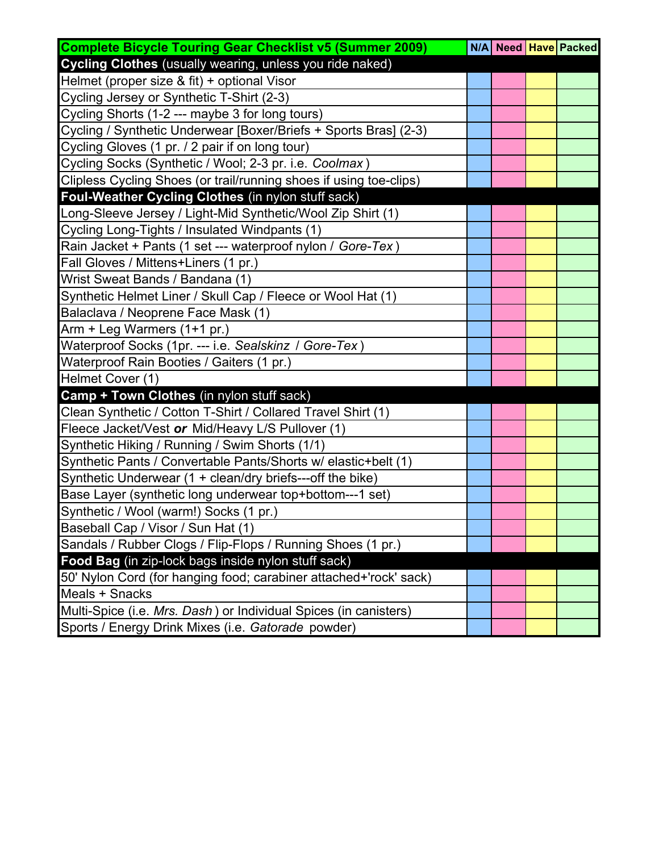| <b>Complete Bicycle Touring Gear Checklist v5 (Summer 2009)</b>    |  | N/A Need Have Packed |
|--------------------------------------------------------------------|--|----------------------|
| Cycling Clothes (usually wearing, unless you ride naked)           |  |                      |
| Helmet (proper size & fit) + optional Visor                        |  |                      |
| Cycling Jersey or Synthetic T-Shirt (2-3)                          |  |                      |
| Cycling Shorts (1-2 --- maybe 3 for long tours)                    |  |                      |
| Cycling / Synthetic Underwear [Boxer/Briefs + Sports Bras] (2-3)   |  |                      |
| Cycling Gloves (1 pr. / 2 pair if on long tour)                    |  |                      |
| Cycling Socks (Synthetic / Wool; 2-3 pr. i.e. Coolmax)             |  |                      |
| Clipless Cycling Shoes (or trail/running shoes if using toe-clips) |  |                      |
| Foul-Weather Cycling Clothes (in nylon stuff sack)                 |  |                      |
| Long-Sleeve Jersey / Light-Mid Synthetic/Wool Zip Shirt (1)        |  |                      |
| Cycling Long-Tights / Insulated Windpants (1)                      |  |                      |
| Rain Jacket + Pants (1 set --- waterproof nylon / Gore-Tex)        |  |                      |
| Fall Gloves / Mittens+Liners (1 pr.)                               |  |                      |
| Wrist Sweat Bands / Bandana (1)                                    |  |                      |
| Synthetic Helmet Liner / Skull Cap / Fleece or Wool Hat (1)        |  |                      |
| Balaclava / Neoprene Face Mask (1)                                 |  |                      |
| Arm + Leg Warmers (1+1 pr.)                                        |  |                      |
| Waterproof Socks (1pr. --- i.e. Sealskinz / Gore-Tex)              |  |                      |
| Waterproof Rain Booties / Gaiters (1 pr.)                          |  |                      |
| Helmet Cover (1)                                                   |  |                      |
| Camp + Town Clothes (in nylon stuff sack)                          |  |                      |
| Clean Synthetic / Cotton T-Shirt / Collared Travel Shirt (1)       |  |                      |
| Fleece Jacket/Vest or Mid/Heavy L/S Pullover (1)                   |  |                      |
| Synthetic Hiking / Running / Swim Shorts (1/1)                     |  |                      |
| Synthetic Pants / Convertable Pants/Shorts w/ elastic+belt (1)     |  |                      |
| Synthetic Underwear (1 + clean/dry briefs---off the bike)          |  |                      |
| Base Layer (synthetic long underwear top+bottom---1 set)           |  |                      |
| Synthetic / Wool (warm!) Socks (1 pr.)                             |  |                      |
| Baseball Cap / Visor / Sun Hat (1)                                 |  |                      |
| Sandals / Rubber Clogs / Flip-Flops / Running Shoes (1 pr.)        |  |                      |
| Food Bag (in zip-lock bags inside nylon stuff sack)                |  |                      |
| 50' Nylon Cord (for hanging food; carabiner attached+'rock' sack)  |  |                      |
| Meals + Snacks                                                     |  |                      |
| Multi-Spice (i.e. Mrs. Dash) or Individual Spices (in canisters)   |  |                      |
| Sports / Energy Drink Mixes (i.e. Gatorade powder)                 |  |                      |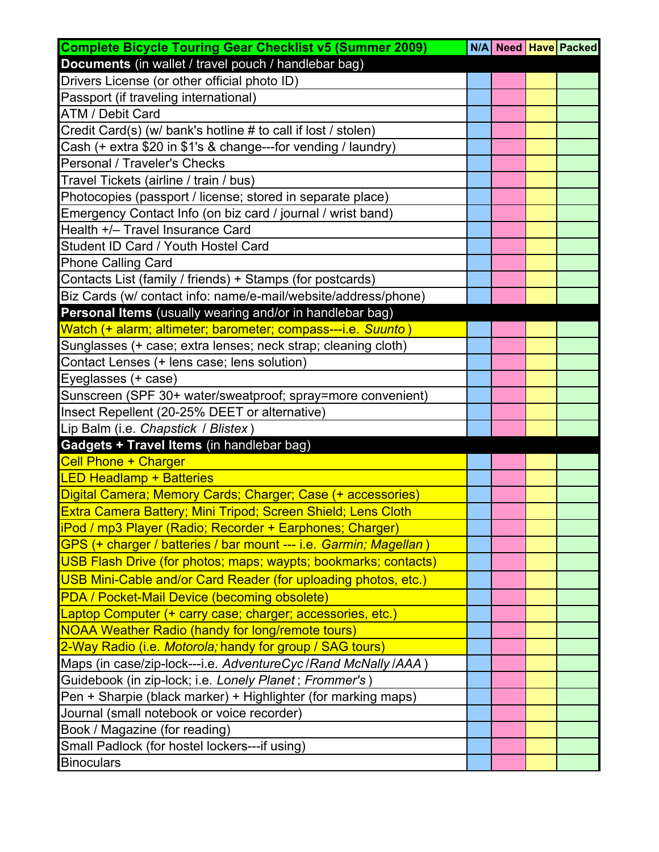| <b>Complete Bicycle Touring Gear Checklist v5 (Summer 2009)</b>   |  | N/A Need Have Packed |
|-------------------------------------------------------------------|--|----------------------|
| Documents (in wallet / travel pouch / handlebar bag)              |  |                      |
| Drivers License (or other official photo ID)                      |  |                      |
| Passport (if traveling international)                             |  |                      |
| <b>ATM / Debit Card</b>                                           |  |                      |
| Credit Card(s) (w/ bank's hotline # to call if lost / stolen)     |  |                      |
| Cash (+ extra \$20 in \$1's & change---for vending / laundry)     |  |                      |
| Personal / Traveler's Checks                                      |  |                      |
| Travel Tickets (airline / train / bus)                            |  |                      |
| Photocopies (passport / license; stored in separate place)        |  |                      |
| Emergency Contact Info (on biz card / journal / wrist band)       |  |                      |
| Health +/- Travel Insurance Card                                  |  |                      |
| Student ID Card / Youth Hostel Card                               |  |                      |
| <b>Phone Calling Card</b>                                         |  |                      |
| Contacts List (family / friends) + Stamps (for postcards)         |  |                      |
| Biz Cards (w/ contact info: name/e-mail/website/address/phone)    |  |                      |
| Personal Items (usually wearing and/or in handlebar bag)          |  |                      |
| Watch (+ alarm; altimeter; barometer; compass---i.e. Suunto)      |  |                      |
| Sunglasses (+ case; extra lenses; neck strap; cleaning cloth)     |  |                      |
| Contact Lenses (+ lens case; lens solution)                       |  |                      |
| Eyeglasses (+ case)                                               |  |                      |
| Sunscreen (SPF 30+ water/sweatproof; spray=more convenient)       |  |                      |
| Insect Repellent (20-25% DEET or alternative)                     |  |                      |
| Lip Balm (i.e. Chapstick / Blistex)                               |  |                      |
| Gadgets + Travel Items (in handlebar bag)                         |  |                      |
| Cell Phone + Charger                                              |  |                      |
| <b>LED Headlamp + Batteries</b>                                   |  |                      |
| Digital Camera; Memory Cards; Charger; Case (+ accessories)       |  |                      |
| Extra Camera Battery; Mini Tripod; Screen Shield; Lens Cloth      |  |                      |
| iPod / mp3 Player (Radio; Recorder + Earphones; Charger)          |  |                      |
| GPS (+ charger / batteries / bar mount --- i.e. Garmin; Magellan) |  |                      |
| USB Flash Drive (for photos; maps; waypts; bookmarks; contacts)   |  |                      |
| USB Mini-Cable and/or Card Reader (for uploading photos, etc.)    |  |                      |
| <b>PDA / Pocket-Mail Device (becoming obsolete)</b>               |  |                      |
| Laptop Computer (+ carry case; charger; accessories, etc.)        |  |                      |
| NOAA Weather Radio (handy for long/remote tours)                  |  |                      |
| 2-Way Radio (i.e. Motorola; handy for group / SAG tours)          |  |                      |
| Maps (in case/zip-lock---i.e. AdventureCyc / Rand McNally / AAA)  |  |                      |
| Guidebook (in zip-lock; i.e. Lonely Planet; Frommer's)            |  |                      |
| Pen + Sharpie (black marker) + Highlighter (for marking maps)     |  |                      |
| Journal (small notebook or voice recorder)                        |  |                      |
| Book / Magazine (for reading)                                     |  |                      |
| Small Padlock (for hostel lockers---if using)                     |  |                      |
| <b>Binoculars</b>                                                 |  |                      |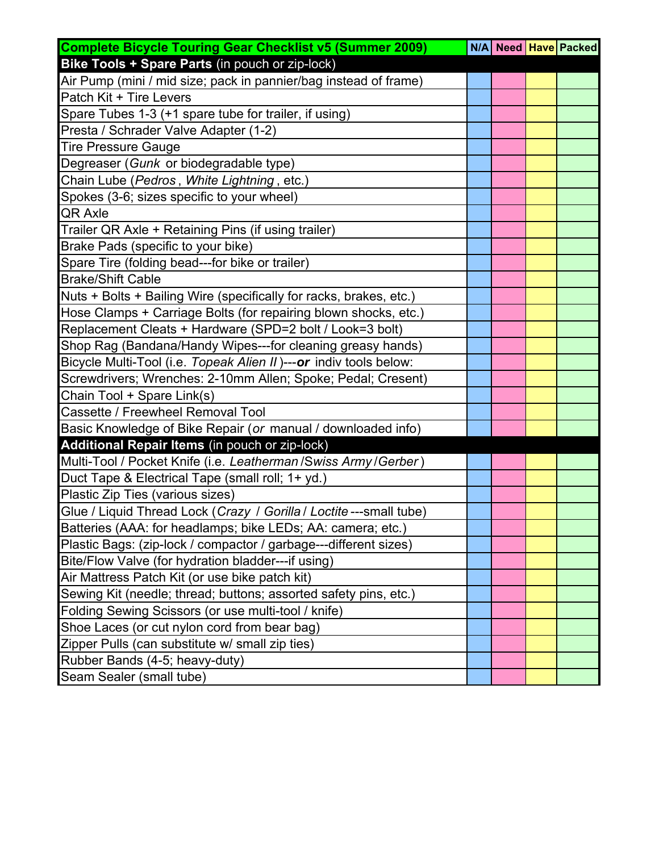| <b>Complete Bicycle Touring Gear Checklist v5 (Summer 2009)</b>      |  | N/A Need Have Packed |
|----------------------------------------------------------------------|--|----------------------|
| Bike Tools + Spare Parts (in pouch or zip-lock)                      |  |                      |
| Air Pump (mini / mid size; pack in pannier/bag instead of frame)     |  |                      |
| Patch Kit + Tire Levers                                              |  |                      |
| Spare Tubes 1-3 (+1 spare tube for trailer, if using)                |  |                      |
| Presta / Schrader Valve Adapter (1-2)                                |  |                      |
| <b>Tire Pressure Gauge</b>                                           |  |                      |
| Degreaser (Gunk or biodegradable type)                               |  |                      |
| Chain Lube (Pedros, White Lightning, etc.)                           |  |                      |
| Spokes (3-6; sizes specific to your wheel)                           |  |                      |
| QR Axle                                                              |  |                      |
| Trailer QR Axle + Retaining Pins (if using trailer)                  |  |                      |
| Brake Pads (specific to your bike)                                   |  |                      |
| Spare Tire (folding bead---for bike or trailer)                      |  |                      |
| <b>Brake/Shift Cable</b>                                             |  |                      |
| Nuts + Bolts + Bailing Wire (specifically for racks, brakes, etc.)   |  |                      |
| Hose Clamps + Carriage Bolts (for repairing blown shocks, etc.)      |  |                      |
| Replacement Cleats + Hardware (SPD=2 bolt / Look=3 bolt)             |  |                      |
| Shop Rag (Bandana/Handy Wipes---for cleaning greasy hands)           |  |                      |
| Bicycle Multi-Tool (i.e. Topeak Alien II)---or indiv tools below:    |  |                      |
| Screwdrivers; Wrenches: 2-10mm Allen; Spoke; Pedal; Cresent)         |  |                      |
| Chain Tool + Spare Link(s)                                           |  |                      |
| Cassette / Freewheel Removal Tool                                    |  |                      |
| Basic Knowledge of Bike Repair (or manual / downloaded info)         |  |                      |
| Additional Repair Items (in pouch or zip-lock)                       |  |                      |
| Multi-Tool / Pocket Knife (i.e. Leatherman / Swiss Army / Gerber)    |  |                      |
| Duct Tape & Electrical Tape (small roll; 1+ yd.)                     |  |                      |
| Plastic Zip Ties (various sizes)                                     |  |                      |
| Glue / Liquid Thread Lock (Crazy / Gorilla / Loctite --- small tube) |  |                      |
| Batteries (AAA: for headlamps; bike LEDs; AA: camera; etc.)          |  |                      |
| Plastic Bags: (zip-lock / compactor / garbage---different sizes)     |  |                      |
| Bite/Flow Valve (for hydration bladder---if using)                   |  |                      |
| Air Mattress Patch Kit (or use bike patch kit)                       |  |                      |
| Sewing Kit (needle; thread; buttons; assorted safety pins, etc.)     |  |                      |
| Folding Sewing Scissors (or use multi-tool / knife)                  |  |                      |
| Shoe Laces (or cut nylon cord from bear bag)                         |  |                      |
| Zipper Pulls (can substitute w/ small zip ties)                      |  |                      |
| Rubber Bands (4-5; heavy-duty)                                       |  |                      |
| Seam Sealer (small tube)                                             |  |                      |